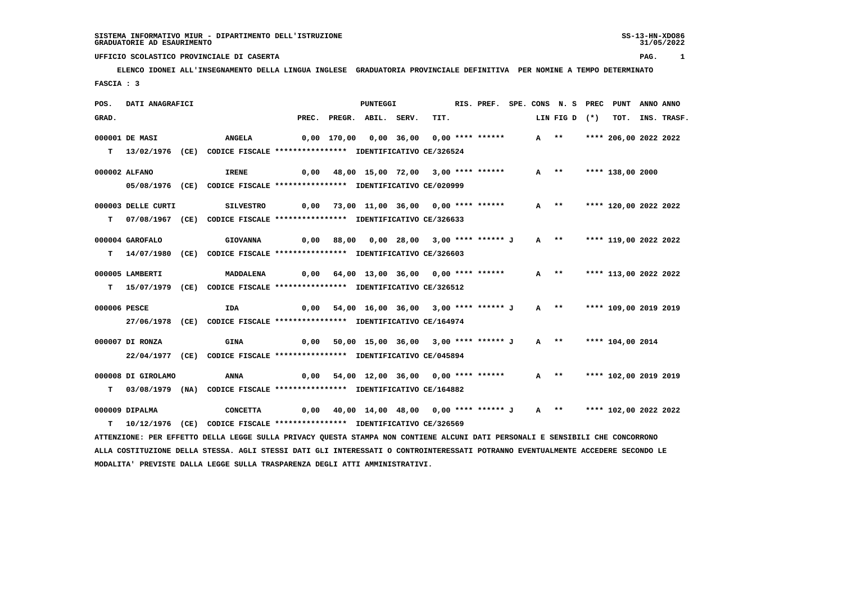**ELENCO IDONEI ALL'INSEGNAMENTO DELLA LINGUA INGLESE GRADUATORIA PROVINCIALE DEFINITIVA PER NOMINE A TEMPO DETERMINATO FASCIA : 3**

| POS.         | DATI ANAGRAFICI    |                                                                                                                                 |       | PUNTEGGI                                  |      | RIS. PREF. SPE. CONS N. S PREC PUNT |      |                       |                       | ANNO ANNO |             |
|--------------|--------------------|---------------------------------------------------------------------------------------------------------------------------------|-------|-------------------------------------------|------|-------------------------------------|------|-----------------------|-----------------------|-----------|-------------|
| GRAD.        |                    |                                                                                                                                 | PREC. | PREGR. ABIL. SERV.                        | TIT. |                                     |      | LIN FIG D (*)         | тот.                  |           | INS. TRASF. |
|              | 000001 DE MASI     | <b>ANGELA</b>                                                                                                                   |       | 0,00 170,00 0,00 36,00 0,00 **** ******   |      |                                     |      | A **                  | **** 206,00 2022 2022 |           |             |
|              |                    | T 13/02/1976 (CE) CODICE FISCALE *************** IDENTIFICATIVO CE/326524                                                       |       |                                           |      |                                     |      |                       |                       |           |             |
|              | 000002 ALFANO      | <b>IRENE</b>                                                                                                                    | 0,00  | 48,00 15,00 72,00 3,00 **** ******        |      |                                     | A ** |                       | **** 138,00 2000      |           |             |
|              |                    | 05/08/1976 (CE) CODICE FISCALE *************** IDENTIFICATIVO CE/020999                                                         |       |                                           |      |                                     |      |                       |                       |           |             |
|              | 000003 DELLE CURTI | <b>SILVESTRO</b>                                                                                                                |       | $0,00$ 73,00 11,00 36,00 0,00 **** ****** |      |                                     |      | A **                  | **** 120,00 2022 2022 |           |             |
| T.           |                    | 07/08/1967 (CE) CODICE FISCALE *************** IDENTIFICATIVO CE/326633                                                         |       |                                           |      |                                     |      |                       |                       |           |             |
|              | 000004 GAROFALO    | <b>GIOVANNA</b>                                                                                                                 | 0,00  | 88,00  0,00  28,00  3,00  ****  ******  J |      |                                     |      | A **                  | **** 119,00 2022 2022 |           |             |
|              |                    | T 14/07/1980 (CE) CODICE FISCALE *************** IDENTIFICATIVO CE/326603                                                       |       |                                           |      |                                     |      |                       |                       |           |             |
|              | 000005 LAMBERTI    | MADDALENA                                                                                                                       |       | $0,00$ 64,00 13,00 36,00 0,00 **** ****** |      |                                     |      | $A$ **                | **** 113,00 2022 2022 |           |             |
|              |                    | T 15/07/1979 (CE) CODICE FISCALE *************** IDENTIFICATIVO CE/326512                                                       |       |                                           |      |                                     |      |                       |                       |           |             |
| 000006 PESCE |                    | IDA                                                                                                                             | 0,00  | 54,00 16,00 36,00 3,00 **** ****** J      |      |                                     |      | A **                  | **** 109,00 2019 2019 |           |             |
|              |                    | 27/06/1978 (CE) CODICE FISCALE *************** IDENTIFICATIVO CE/164974                                                         |       |                                           |      |                                     |      |                       |                       |           |             |
|              | 000007 DI RONZA    | <b>GINA</b>                                                                                                                     | 0,00  | 50,00 15,00 36,00 3,00 **** ****** J      |      |                                     |      | $A$ **                | **** 104,00 2014      |           |             |
|              |                    | 22/04/1977 (CE) CODICE FISCALE *************** IDENTIFICATIVO CE/045894                                                         |       |                                           |      |                                     |      |                       |                       |           |             |
|              | 000008 DI GIROLAMO | ANNA                                                                                                                            | 0,00  | 54,00 12,00 36,00 0,00 **** ******        |      |                                     |      | A **                  | **** 102,00 2019 2019 |           |             |
| т            |                    | 03/08/1979 (NA) CODICE FISCALE *************** IDENTIFICATIVO CE/164882                                                         |       |                                           |      |                                     |      |                       |                       |           |             |
|              | 000009 DIPALMA     | <b>CONCETTA</b>                                                                                                                 | 0,00  | 40,00 14,00 48,00 0,00 **** ****** J      |      |                                     |      | $A \rightarrow \star$ | **** 102,00 2022 2022 |           |             |
|              |                    | T  10/12/1976 (CE) CODICE FISCALE **************** IDENTIFICATIVO CE/326569                                                     |       |                                           |      |                                     |      |                       |                       |           |             |
|              |                    | ATTENZIONE: PER EFFETTO DELLA LEGGE SULLA PRIVACY QUESTA STAMPA NON CONTIENE ALCUNI DATI PERSONALI E SENSIBILI CHE CONCORRONO   |       |                                           |      |                                     |      |                       |                       |           |             |
|              |                    | ALLA COSTITUZIONE DELLA STESSA. AGLI STESSI DATI GLI INTERESSATI O CONTROINTERESSATI POTRANNO EVENTUALMENTE ACCEDERE SECONDO LE |       |                                           |      |                                     |      |                       |                       |           |             |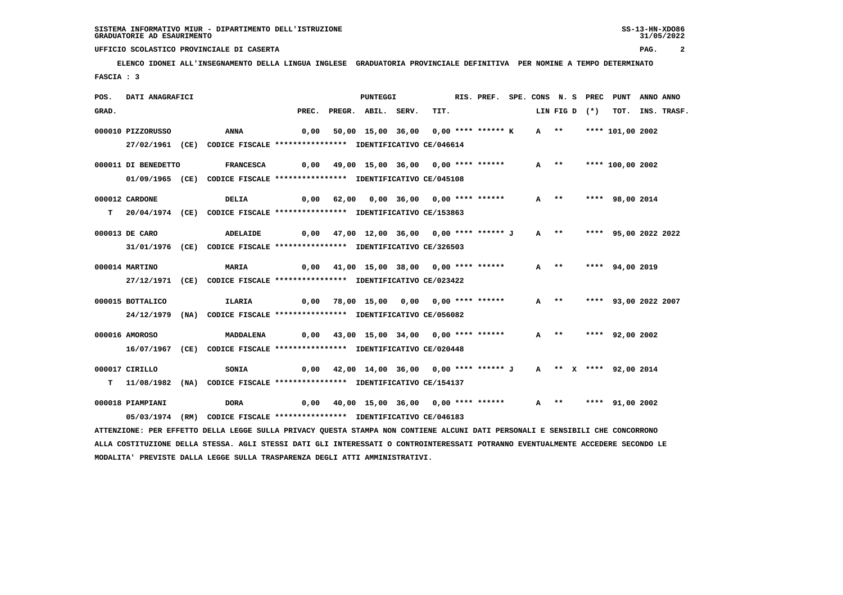## **ELENCO IDONEI ALL'INSEGNAMENTO DELLA LINGUA INGLESE GRADUATORIA PROVINCIALE DEFINITIVA PER NOMINE A TEMPO DETERMINATO FASCIA : 3**

 **UFFICIO SCOLASTICO PROVINCIALE DI CASERTA PAG. 2**

| POS.  | DATI ANAGRAFICI     |                                                                                                                                 |       | PUNTEGGI                                    |      | RIS. PREF. SPE. CONS N. S PREC PUNT |        |      |               |                           | ANNO ANNO |                  |
|-------|---------------------|---------------------------------------------------------------------------------------------------------------------------------|-------|---------------------------------------------|------|-------------------------------------|--------|------|---------------|---------------------------|-----------|------------------|
| GRAD. |                     |                                                                                                                                 | PREC. | PREGR. ABIL. SERV.                          | TIT. |                                     |        |      | LIN FIG D (*) |                           |           | TOT. INS. TRASF. |
|       | 000010 PIZZORUSSO   | ANNA                                                                                                                            | 0,00  | 50,00 15,00 36,00 0,00 **** ****** K        |      |                                     |        |      |               | A ** **** 101,00 2002     |           |                  |
|       |                     |                                                                                                                                 |       |                                             |      |                                     |        |      |               |                           |           |                  |
|       |                     | 27/02/1961 (CE) CODICE FISCALE *************** IDENTIFICATIVO CE/046614                                                         |       |                                             |      |                                     |        |      |               |                           |           |                  |
|       | 000011 DI BENEDETTO | <b>FRANCESCA</b>                                                                                                                |       | 0,00 49,00 15,00 36,00 0,00 **** ******     |      |                                     |        | A ** |               | **** 100,00 2002          |           |                  |
|       |                     | 01/09/1965 (CE) CODICE FISCALE *************** IDENTIFICATIVO CE/045108                                                         |       |                                             |      |                                     |        |      |               |                           |           |                  |
|       |                     |                                                                                                                                 |       |                                             |      |                                     |        |      |               |                           |           |                  |
|       | 000012 CARDONE      | <b>DELIA</b>                                                                                                                    |       | $0,00$ 62,00 0,00 36,00 0,00 **** ******    |      |                                     | $A$ ** |      |               | **** 98,00 2014           |           |                  |
|       |                     | T 20/04/1974 (CE) CODICE FISCALE **************** IDENTIFICATIVO CE/153863                                                      |       |                                             |      |                                     |        |      |               |                           |           |                  |
|       | 000013 DE CARO      | ADELAIDE                                                                                                                        |       | 0,00 47,00 12,00 36,00 0,00 **** ****** J   |      |                                     | $A$ ** |      |               | **** 95,00 2022 2022      |           |                  |
|       |                     |                                                                                                                                 |       |                                             |      |                                     |        |      |               |                           |           |                  |
|       |                     | 31/01/1976 (CE) CODICE FISCALE *************** IDENTIFICATIVO CE/326503                                                         |       |                                             |      |                                     |        |      |               |                           |           |                  |
|       | 000014 MARTINO      | MARIA                                                                                                                           |       | 0,00 41,00 15,00 38,00 0,00 **** ******     |      |                                     | $A$ ** |      |               | **** 94,00 2019           |           |                  |
|       |                     | 27/12/1971 (CE) CODICE FISCALE *************** IDENTIFICATIVO CE/023422                                                         |       |                                             |      |                                     |        |      |               |                           |           |                  |
|       |                     |                                                                                                                                 |       |                                             |      |                                     |        |      |               |                           |           |                  |
|       | 000015 BOTTALICO    | ILARIA                                                                                                                          |       | $0,00$ 78,00 15,00 0,00 0,00 **** ******    |      |                                     |        |      |               | A ** **** 93,00 2022 2007 |           |                  |
|       |                     | 24/12/1979 (NA) CODICE FISCALE *************** IDENTIFICATIVO CE/056082                                                         |       |                                             |      |                                     |        |      |               |                           |           |                  |
|       | 000016 AMOROSO      | MADDALENA                                                                                                                       |       | $0,00$ 43,00 15,00 34,00 0,00 **** ******   |      |                                     | A **   |      |               | **** 92,00 2002           |           |                  |
|       |                     | 16/07/1967 (CE) CODICE FISCALE *************** IDENTIFICATIVO CE/020448                                                         |       |                                             |      |                                     |        |      |               |                           |           |                  |
|       |                     |                                                                                                                                 |       |                                             |      |                                     |        |      |               |                           |           |                  |
|       | 000017 CIRILLO      | SONIA                                                                                                                           |       | $0,00$ 42,00 14,00 36,00 0,00 **** ****** J |      |                                     |        |      |               | A ** X **** 92,00 2014    |           |                  |
|       |                     | T 11/08/1982 (NA) CODICE FISCALE **************** IDENTIFICATIVO CE/154137                                                      |       |                                             |      |                                     |        |      |               |                           |           |                  |
|       |                     |                                                                                                                                 |       |                                             |      |                                     |        |      |               |                           |           |                  |
|       | 000018 PIAMPIANI    | <b>DORA</b>                                                                                                                     |       | 0,00 40,00 15,00 36,00 0,00 **** ******     |      |                                     | $A$ ** |      |               | **** 91,00 2002           |           |                  |
|       |                     | 05/03/1974 (RM) CODICE FISCALE *************** IDENTIFICATIVO CE/046183                                                         |       |                                             |      |                                     |        |      |               |                           |           |                  |
|       |                     | ATTENZIONE: PER EFFETTO DELLA LEGGE SULLA PRIVACY QUESTA STAMPA NON CONTIENE ALCUNI DATI PERSONALI E SENSIBILI CHE CONCORRONO   |       |                                             |      |                                     |        |      |               |                           |           |                  |
|       |                     | ALLA COSTITUZIONE DELLA STESSA. AGLI STESSI DATI GLI INTERESSATI O CONTROINTERESSATI POTRANNO EVENTUALMENTE ACCEDERE SECONDO LE |       |                                             |      |                                     |        |      |               |                           |           |                  |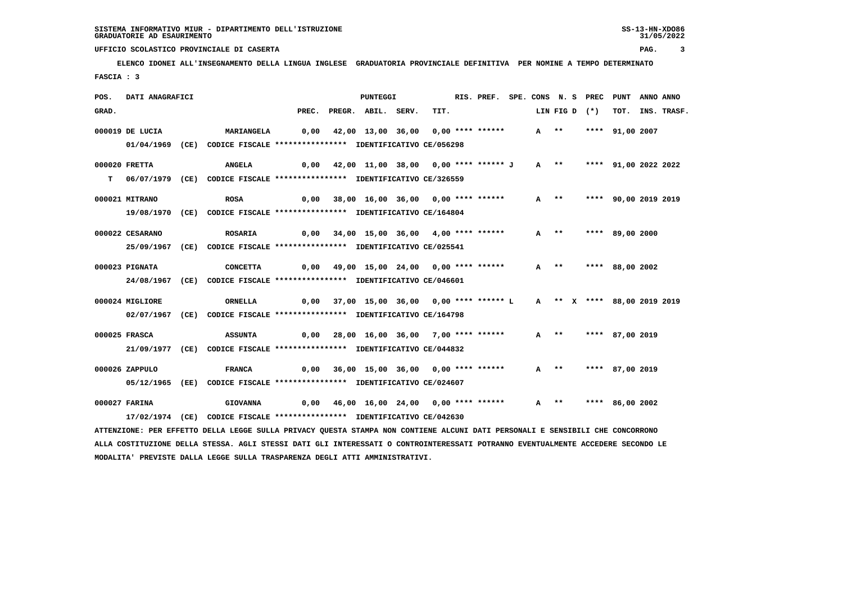# **ELENCO IDONEI ALL'INSEGNAMENTO DELLA LINGUA INGLESE GRADUATORIA PROVINCIALE DEFINITIVA PER NOMINE A TEMPO DETERMINATO FASCIA : 3**

 **UFFICIO SCOLASTICO PROVINCIALE DI CASERTA PAG. 3**

| POS.  | DATI ANAGRAFICI |                                                                                                                               |      | PUNTEGGI                                  |      | RIS. PREF. SPE. CONS N. S PREC |        |        |               | PUNT                        | ANNO ANNO |                  |
|-------|-----------------|-------------------------------------------------------------------------------------------------------------------------------|------|-------------------------------------------|------|--------------------------------|--------|--------|---------------|-----------------------------|-----------|------------------|
| GRAD. |                 |                                                                                                                               |      | PREC. PREGR. ABIL. SERV.                  | TIT. |                                |        |        | LIN FIG D (*) |                             |           | TOT. INS. TRASF. |
|       | 000019 DE LUCIA | <b>MARIANGELA</b>                                                                                                             | 0,00 | 42,00 13,00 36,00 0,00 **** ******        |      |                                | $A$ ** |        |               | **** 91,00 2007             |           |                  |
|       |                 | 01/04/1969 (CE) CODICE FISCALE *************** IDENTIFICATIVO CE/056298                                                       |      |                                           |      |                                |        |        |               |                             |           |                  |
|       |                 |                                                                                                                               |      |                                           |      |                                |        |        |               |                             |           |                  |
|       | 000020 FRETTA   | <b>ANGELA</b>                                                                                                                 |      | 0,00 42,00 11,00 38,00 0,00 **** ****** J |      |                                |        |        |               | A ** **** 91,00 2022 2022   |           |                  |
|       |                 | T 06/07/1979 (CE) CODICE FISCALE **************** IDENTIFICATIVO CE/326559                                                    |      |                                           |      |                                |        |        |               |                             |           |                  |
|       |                 |                                                                                                                               |      |                                           |      |                                |        |        |               |                             |           |                  |
|       | 000021 MITRANO  | <b>ROSA</b>                                                                                                                   |      | 0,00 38,00 16,00 36,00 0,00 **** ******   |      |                                |        | A **   |               | **** 90,00 2019 2019        |           |                  |
|       |                 | 19/08/1970 (CE) CODICE FISCALE *************** IDENTIFICATIVO CE/164804                                                       |      |                                           |      |                                |        |        |               |                             |           |                  |
|       | 000022 CESARANO | <b>ROSARIA</b>                                                                                                                | 0,00 | 34,00 15,00 36,00 4,00 **** ******        |      |                                |        | $A$ ** |               | **** 89,00 2000             |           |                  |
|       |                 | 25/09/1967 (CE) CODICE FISCALE *************** IDENTIFICATIVO CE/025541                                                       |      |                                           |      |                                |        |        |               |                             |           |                  |
|       |                 |                                                                                                                               |      |                                           |      |                                |        |        |               |                             |           |                  |
|       | 000023 PIGNATA  | <b>CONCETTA</b>                                                                                                               |      | $0,00$ 49,00 15,00 24,00 0,00 **** ****** |      |                                |        | $A$ ** |               | **** 88,00 2002             |           |                  |
|       |                 | 24/08/1967 (CE) CODICE FISCALE *************** IDENTIFICATIVO CE/046601                                                       |      |                                           |      |                                |        |        |               |                             |           |                  |
|       |                 |                                                                                                                               |      |                                           |      |                                |        |        |               |                             |           |                  |
|       | 000024 MIGLIORE | <b>ORNELLA</b>                                                                                                                |      | 0,00 37,00 15,00 36,00 0,00 **** ****** L |      |                                |        |        |               | A ** X **** 88,00 2019 2019 |           |                  |
|       |                 | 02/07/1967 (CE) CODICE FISCALE *************** IDENTIFICATIVO CE/164798                                                       |      |                                           |      |                                |        |        |               |                             |           |                  |
|       | 000025 FRASCA   | <b>ASSUNTA</b>                                                                                                                |      | 0,00 28,00 16,00 36,00 7,00 **** ******   |      |                                |        | $A$ ** |               | **** 87,00 2019             |           |                  |
|       |                 | 21/09/1977 (CE) CODICE FISCALE *************** IDENTIFICATIVO CE/044832                                                       |      |                                           |      |                                |        |        |               |                             |           |                  |
|       |                 |                                                                                                                               |      |                                           |      |                                |        |        |               |                             |           |                  |
|       | 000026 ZAPPULO  | <b>FRANCA</b>                                                                                                                 |      | $0,00$ 36,00 15,00 36,00 0,00 **** ****** |      |                                |        | $A$ ** |               | **** 87,00 2019             |           |                  |
|       |                 | 05/12/1965 (EE) CODICE FISCALE **************** IDENTIFICATIVO CE/024607                                                      |      |                                           |      |                                |        |        |               |                             |           |                  |
|       |                 |                                                                                                                               |      |                                           |      |                                |        |        |               |                             |           |                  |
|       | 000027 FARINA   | <b>GIOVANNA</b>                                                                                                               |      | $0,00$ 46,00 16,00 24,00 0,00 **** ****** |      |                                |        | A **   |               | **** 86,00 2002             |           |                  |
|       |                 | 17/02/1974 (CE) CODICE FISCALE *************** IDENTIFICATIVO CE/042630                                                       |      |                                           |      |                                |        |        |               |                             |           |                  |
|       |                 | ATTENZIONE: PER EFFETTO DELLA LEGGE SULLA PRIVACY QUESTA STAMPA NON CONTIENE ALCUNI DATI PERSONALI E SENSIBILI CHE CONCORRONO |      |                                           |      |                                |        |        |               |                             |           |                  |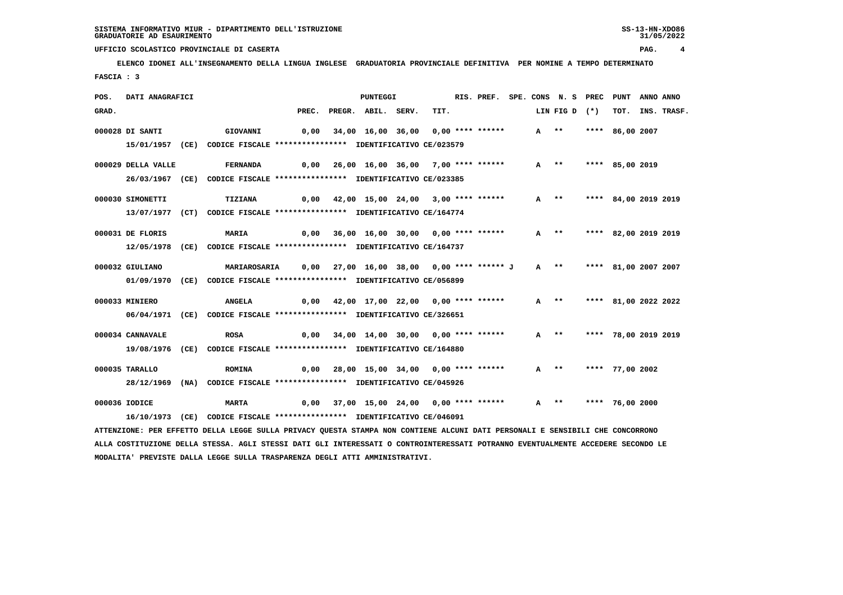**ELENCO IDONEI ALL'INSEGNAMENTO DELLA LINGUA INGLESE GRADUATORIA PROVINCIALE DEFINITIVA PER NOMINE A TEMPO DETERMINATO FASCIA : 3**

| POS.  | DATI ANAGRAFICI    |                                                                                                                               |       | <b>PUNTEGGI</b>                           |      | RIS. PREF. SPE. CONS N. S PREC |        |               | PUNT                 | ANNO ANNO |             |
|-------|--------------------|-------------------------------------------------------------------------------------------------------------------------------|-------|-------------------------------------------|------|--------------------------------|--------|---------------|----------------------|-----------|-------------|
| GRAD. |                    |                                                                                                                               | PREC. | PREGR. ABIL. SERV.                        | TIT. |                                |        | LIN FIG D (*) | тот.                 |           | INS. TRASF. |
|       | 000028 DI SANTI    | GIOVANNI                                                                                                                      | 0,00  | 34,00 16,00 36,00 0,00 **** ******        |      |                                | $A$ ** |               | **** 86,00 2007      |           |             |
|       |                    | 15/01/1957 (CE) CODICE FISCALE *************** IDENTIFICATIVO CE/023579                                                       |       |                                           |      |                                |        |               |                      |           |             |
|       |                    |                                                                                                                               |       |                                           |      |                                |        |               |                      |           |             |
|       | 000029 DELLA VALLE | <b>FERNANDA</b>                                                                                                               | 0,00  | 26,00 16,00 36,00 7,00 **** ******        |      |                                | $A$ ** |               | **** 85,00 2019      |           |             |
|       |                    | 26/03/1967 (CE) CODICE FISCALE *************** IDENTIFICATIVO CE/023385                                                       |       |                                           |      |                                |        |               |                      |           |             |
|       | 000030 SIMONETTI   | TIZIANA                                                                                                                       |       | 0,00 42,00 15,00 24,00 3,00 **** ******   |      |                                |        | A **          | **** 84,00 2019 2019 |           |             |
|       |                    | 13/07/1977 (CT) CODICE FISCALE *************** IDENTIFICATIVO CE/164774                                                       |       |                                           |      |                                |        |               |                      |           |             |
|       |                    |                                                                                                                               |       |                                           |      |                                |        |               |                      |           |             |
|       | 000031 DE FLORIS   | MARIA                                                                                                                         |       | 0,00 36,00 16,00 30,00 0,00 **** ******   |      |                                |        | $A$ **        | **** 82,00 2019 2019 |           |             |
|       |                    | 12/05/1978 (CE) CODICE FISCALE *************** IDENTIFICATIVO CE/164737                                                       |       |                                           |      |                                |        |               |                      |           |             |
|       | 000032 GIULIANO    | <b>MARIAROSARIA</b>                                                                                                           | 0,00  | 27,00 16,00 38,00 0,00 **** ****** J      |      |                                |        | $A$ **        | **** 81,00 2007 2007 |           |             |
|       |                    | 01/09/1970 (CE) CODICE FISCALE *************** IDENTIFICATIVO CE/056899                                                       |       |                                           |      |                                |        |               |                      |           |             |
|       | 000033 MINIERO     | <b>ANGELA</b>                                                                                                                 |       | 0,00 42,00 17,00 22,00 0,00 **** ******   |      |                                |        | A **          | **** 81,00 2022 2022 |           |             |
|       |                    |                                                                                                                               |       |                                           |      |                                |        |               |                      |           |             |
|       |                    | 06/04/1971 (CE) CODICE FISCALE *************** IDENTIFICATIVO CE/326651                                                       |       |                                           |      |                                |        |               |                      |           |             |
|       | 000034 CANNAVALE   | <b>ROSA</b>                                                                                                                   |       | $0,00$ 34,00 14,00 30,00 0,00 **** ****** |      |                                |        | $A$ **        | **** 78,00 2019 2019 |           |             |
|       |                    | 19/08/1976 (CE) CODICE FISCALE *************** IDENTIFICATIVO CE/164880                                                       |       |                                           |      |                                |        |               |                      |           |             |
|       |                    |                                                                                                                               |       |                                           |      |                                |        |               |                      |           |             |
|       | 000035 TARALLO     | <b>ROMINA</b>                                                                                                                 | 0,00  | 28,00 15,00 34,00 0,00 **** ******        |      |                                |        | A **          | **** 77,00 2002      |           |             |
|       |                    | 28/12/1969 (NA) CODICE FISCALE *************** IDENTIFICATIVO CE/045926                                                       |       |                                           |      |                                |        |               |                      |           |             |
|       | 000036 IODICE      | <b>MARTA</b>                                                                                                                  |       | $0,00$ 37,00 15,00 24,00 0,00 **** ****** |      |                                |        | A **          | **** 76,00 2000      |           |             |
|       |                    | 16/10/1973 (CE) CODICE FISCALE **************** IDENTIFICATIVO CE/046091                                                      |       |                                           |      |                                |        |               |                      |           |             |
|       |                    | ATTENZIONE: PER EFFETTO DELLA LEGGE SULLA PRIVACY QUESTA STAMPA NON CONTIENE ALCUNI DATI PERSONALI E SENSIBILI CHE CONCORRONO |       |                                           |      |                                |        |               |                      |           |             |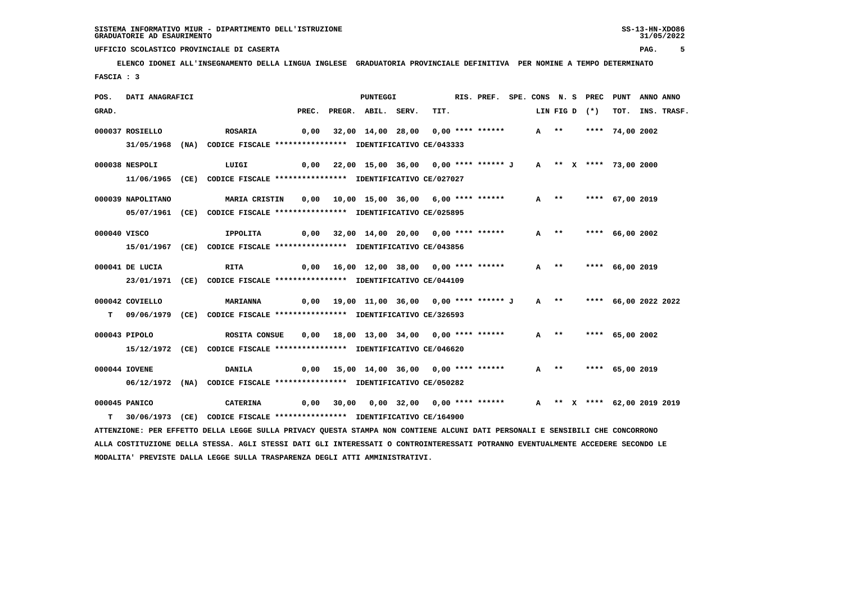**ELENCO IDONEI ALL'INSEGNAMENTO DELLA LINGUA INGLESE GRADUATORIA PROVINCIALE DEFINITIVA PER NOMINE A TEMPO DETERMINATO FASCIA : 3**

| POS.  | DATI ANAGRAFICI   |                                                                                                                                 |       | <b>PUNTEGGI</b>                                             |      | RIS. PREF. SPE. CONS N. S PREC |        |        |               | PUNT                        | ANNO ANNO |                  |
|-------|-------------------|---------------------------------------------------------------------------------------------------------------------------------|-------|-------------------------------------------------------------|------|--------------------------------|--------|--------|---------------|-----------------------------|-----------|------------------|
| GRAD. |                   |                                                                                                                                 | PREC. | PREGR. ABIL. SERV.                                          | TIT. |                                |        |        | LIN FIG D (*) |                             |           | TOT. INS. TRASF. |
|       | 000037 ROSIELLO   | <b>ROSARIA</b>                                                                                                                  |       | 0,00 32,00 14,00 28,00 0,00 **** ******                     |      |                                | A **   |        |               | **** 74,00 2002             |           |                  |
|       |                   | 31/05/1968 (NA) CODICE FISCALE *************** IDENTIFICATIVO CE/043333                                                         |       |                                                             |      |                                |        |        |               |                             |           |                  |
|       | 000038 NESPOLI    | LUIGI                                                                                                                           | 0,00  | 22,00 15,00 36,00 0,00 **** ****** J A ** X **** 73,00 2000 |      |                                |        |        |               |                             |           |                  |
|       |                   | 11/06/1965 (CE) CODICE FISCALE *************** IDENTIFICATIVO CE/027027                                                         |       |                                                             |      |                                |        |        |               |                             |           |                  |
|       |                   |                                                                                                                                 |       |                                                             |      |                                |        |        |               |                             |           |                  |
|       | 000039 NAPOLITANO | <b>MARIA CRISTIN</b>                                                                                                            |       |                                                             |      |                                |        | $A$ ** |               | **** 67,00 2019             |           |                  |
|       |                   | 05/07/1961 (CE) CODICE FISCALE *************** IDENTIFICATIVO CE/025895                                                         |       |                                                             |      |                                |        |        |               |                             |           |                  |
|       | 000040 VISCO      | IPPOLITA                                                                                                                        |       | 0,00 32,00 14,00 20,00 0,00 **** ******                     |      |                                | $A$ ** |        |               | **** 66,00 2002             |           |                  |
|       |                   | 15/01/1967 (CE) CODICE FISCALE *************** IDENTIFICATIVO CE/043856                                                         |       |                                                             |      |                                |        |        |               |                             |           |                  |
|       |                   |                                                                                                                                 |       |                                                             |      |                                |        |        |               |                             |           |                  |
|       | 000041 DE LUCIA   | <b>RITA</b>                                                                                                                     |       | 0,00 16,00 12,00 38,00 0,00 **** ******                     |      |                                | $A$ ** |        |               | **** 66,00 2019             |           |                  |
|       |                   | 23/01/1971 (CE) CODICE FISCALE *************** IDENTIFICATIVO CE/044109                                                         |       |                                                             |      |                                |        |        |               |                             |           |                  |
|       | 000042 COVIELLO   | <b>MARIANNA</b>                                                                                                                 |       | 0,00 19,00 11,00 36,00 0,00 **** ****** J                   |      |                                |        | $A$ ** |               | **** 66,00 2022 2022        |           |                  |
|       |                   | T 09/06/1979 (CE) CODICE FISCALE **************** IDENTIFICATIVO CE/326593                                                      |       |                                                             |      |                                |        |        |               |                             |           |                  |
|       | 000043 PIPOLO     |                                                                                                                                 |       | 0,00 18,00 13,00 34,00 0,00 **** ******                     |      |                                | $A$ ** |        |               | **** 65,00 2002             |           |                  |
|       |                   | ROSITA CONSUE<br>15/12/1972 (CE) CODICE FISCALE *************** IDENTIFICATIVO CE/046620                                        |       |                                                             |      |                                |        |        |               |                             |           |                  |
|       |                   |                                                                                                                                 |       |                                                             |      |                                |        |        |               |                             |           |                  |
|       | 000044 IOVENE     | DANILA                                                                                                                          |       | 0,00 15,00 14,00 36,00 0,00 **** ******                     |      |                                |        | A **   |               | **** 65,00 2019             |           |                  |
|       |                   | 06/12/1972 (NA) CODICE FISCALE *************** IDENTIFICATIVO CE/050282                                                         |       |                                                             |      |                                |        |        |               |                             |           |                  |
|       | 000045 PANICO     | CATERINA                                                                                                                        |       | $0,00$ 30,00 0,00 32,00 0,00 **** ******                    |      |                                |        |        |               | A ** X **** 62,00 2019 2019 |           |                  |
| т     |                   | 30/06/1973 (CE) CODICE FISCALE *************** IDENTIFICATIVO CE/164900                                                         |       |                                                             |      |                                |        |        |               |                             |           |                  |
|       |                   | ATTENZIONE: PER EFFETTO DELLA LEGGE SULLA PRIVACY QUESTA STAMPA NON CONTIENE ALCUNI DATI PERSONALI E SENSIBILI CHE CONCORRONO   |       |                                                             |      |                                |        |        |               |                             |           |                  |
|       |                   | ALLA COSTITUZIONE DELLA STESSA. AGLI STESSI DATI GLI INTERESSATI O CONTROINTERESSATI POTRANNO EVENTUALMENTE ACCEDERE SECONDO LE |       |                                                             |      |                                |        |        |               |                             |           |                  |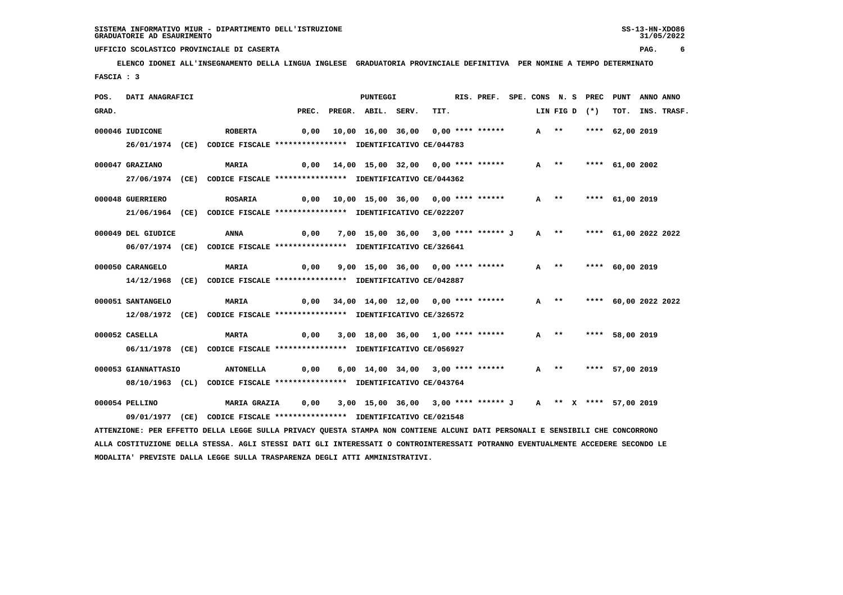**ELENCO IDONEI ALL'INSEGNAMENTO DELLA LINGUA INGLESE GRADUATORIA PROVINCIALE DEFINITIVA PER NOMINE A TEMPO DETERMINATO FASCIA : 3**

| POS.  | DATI ANAGRAFICI     |                                                                          |       | <b>PUNTEGGI</b>                                            |      | RIS. PREF. SPE. CONS N. S PREC |        |               | PUNT                 | ANNO ANNO |             |
|-------|---------------------|--------------------------------------------------------------------------|-------|------------------------------------------------------------|------|--------------------------------|--------|---------------|----------------------|-----------|-------------|
| GRAD. |                     |                                                                          | PREC. | PREGR. ABIL. SERV.                                         | TIT. |                                |        | LIN FIG D (*) | тот.                 |           | INS. TRASF. |
|       | 000046 IUDICONE     | <b>ROBERTA</b>                                                           | 0,00  | 10,00 16,00 36,00 0,00 **** ******                         |      |                                | A **   |               | **** 62,00 2019      |           |             |
|       |                     | 26/01/1974 (CE) CODICE FISCALE *************** IDENTIFICATIVO CE/044783  |       |                                                            |      |                                |        |               |                      |           |             |
|       | 000047 GRAZIANO     | <b>MARIA</b>                                                             |       | 0,00 14,00 15,00 32,00 0,00 **** ******                    |      |                                |        | A **          | **** $61,00$ 2002    |           |             |
|       |                     | 27/06/1974 (CE) CODICE FISCALE *************** IDENTIFICATIVO CE/044362  |       |                                                            |      |                                |        |               |                      |           |             |
|       | 000048 GUERRIERO    | <b>ROSARIA</b>                                                           |       | 0,00 10,00 15,00 36,00 0,00 **** ******                    |      |                                |        | A **          | **** 61,00 2019      |           |             |
|       |                     | 21/06/1964 (CE) CODICE FISCALE *************** IDENTIFICATIVO CE/022207  |       |                                                            |      |                                |        |               |                      |           |             |
|       | 000049 DEL GIUDICE  | ANNA                                                                     | 0,00  | 7,00 15,00 36,00 3,00 **** ****** J                        |      |                                |        | $A$ **        | **** 61,00 2022 2022 |           |             |
|       |                     | 06/07/1974 (CE) CODICE FISCALE *************** IDENTIFICATIVO CE/326641  |       |                                                            |      |                                |        |               |                      |           |             |
|       | 000050 CARANGELO    | <b>MARIA</b>                                                             | 0,00  | 9,00 15,00 36,00 0,00 **** ******                          |      |                                | $A$ ** |               | **** 60,00 2019      |           |             |
|       |                     | 14/12/1968 (CE) CODICE FISCALE **************** IDENTIFICATIVO CE/042887 |       |                                                            |      |                                |        |               |                      |           |             |
|       | 000051 SANTANGELO   | <b>MARIA</b>                                                             | 0,00  | 34,00 14,00 12,00 0,00 **** ******                         |      |                                | $A$ ** |               | **** 60,00 2022 2022 |           |             |
|       |                     | 12/08/1972 (CE) CODICE FISCALE *************** IDENTIFICATIVO CE/326572  |       |                                                            |      |                                |        |               |                      |           |             |
|       | 000052 CASELLA      | <b>MARTA</b>                                                             |       | 0,00 3,00 18,00 36,00 1,00 **** ******                     |      |                                | A **   |               | **** 58,00 2019      |           |             |
|       |                     | 06/11/1978 (CE) CODICE FISCALE *************** IDENTIFICATIVO CE/056927  |       |                                                            |      |                                |        |               |                      |           |             |
|       | 000053 GIANNATTASIO | <b>ANTONELLA</b>                                                         | 0,00  | 6,00 14,00 34,00 3,00 **** ******                          |      |                                |        | $A$ **        | **** 57,00 2019      |           |             |
|       | 08/10/1963 (CL)     | CODICE FISCALE **************** IDENTIFICATIVO CE/043764                 |       |                                                            |      |                                |        |               |                      |           |             |
|       | 000054 PELLINO      | <b>MARIA GRAZIA</b>                                                      | 0,00  | 3,00 15,00 36,00 3,00 **** ****** J A ** X **** 57,00 2019 |      |                                |        |               |                      |           |             |
|       |                     | 09/01/1977 (CE) CODICE FISCALE *************** IDENTIFICATIVO CE/021548  |       |                                                            |      |                                |        |               |                      |           |             |

 **ATTENZIONE: PER EFFETTO DELLA LEGGE SULLA PRIVACY QUESTA STAMPA NON CONTIENE ALCUNI DATI PERSONALI E SENSIBILI CHE CONCORRONO ALLA COSTITUZIONE DELLA STESSA. AGLI STESSI DATI GLI INTERESSATI O CONTROINTERESSATI POTRANNO EVENTUALMENTE ACCEDERE SECONDO LE MODALITA' PREVISTE DALLA LEGGE SULLA TRASPARENZA DEGLI ATTI AMMINISTRATIVI.**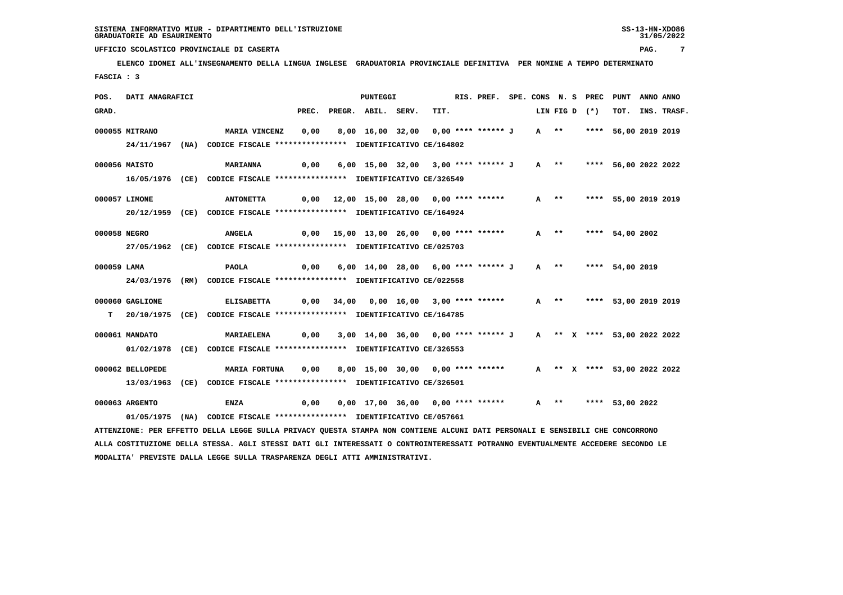**ELENCO IDONEI ALL'INSEGNAMENTO DELLA LINGUA INGLESE GRADUATORIA PROVINCIALE DEFINITIVA PER NOMINE A TEMPO DETERMINATO FASCIA : 3**

| POS.         | DATI ANAGRAFICI  |                                                                                                                               |       |                                                                                | PUNTEGGI                                                          |      | RIS. PREF. SPE. CONS N. S PREC PUNT |        |  |               |                             | ANNO ANNO |                  |
|--------------|------------------|-------------------------------------------------------------------------------------------------------------------------------|-------|--------------------------------------------------------------------------------|-------------------------------------------------------------------|------|-------------------------------------|--------|--|---------------|-----------------------------|-----------|------------------|
| GRAD.        |                  |                                                                                                                               | PREC. |                                                                                | PREGR. ABIL. SERV.                                                | TIT. |                                     |        |  | LIN FIG D (*) |                             |           | TOT. INS. TRASF. |
|              | 000055 MITRANO   | MARIA VINCENZ                                                                                                                 | 0,00  |                                                                                | 8,00 16,00 32,00 0,00 **** ****** J A **     **** 56,00 2019 2019 |      |                                     |        |  |               |                             |           |                  |
|              |                  |                                                                                                                               |       |                                                                                |                                                                   |      |                                     |        |  |               |                             |           |                  |
|              |                  | 24/11/1967 (NA) CODICE FISCALE *************** IDENTIFICATIVO CE/164802                                                       |       |                                                                                |                                                                   |      |                                     |        |  |               |                             |           |                  |
|              | 000056 MAISTO    | MARIANNA                                                                                                                      |       |                                                                                |                                                                   |      |                                     |        |  |               | A ** **** 56,00 2022 2022   |           |                  |
|              |                  | 16/05/1976 (CE) CODICE FISCALE *************** IDENTIFICATIVO CE/326549                                                       |       |                                                                                |                                                                   |      |                                     |        |  |               |                             |           |                  |
|              |                  |                                                                                                                               |       |                                                                                |                                                                   |      |                                     |        |  |               |                             |           |                  |
|              | 000057 LIMONE    | <b>ANTONETTA</b>                                                                                                              |       |                                                                                |                                                                   |      |                                     | $A$ ** |  |               | **** 55,00 2019 2019        |           |                  |
|              |                  | 20/12/1959 (CE) CODICE FISCALE *************** IDENTIFICATIVO CE/164924                                                       |       |                                                                                |                                                                   |      |                                     |        |  |               |                             |           |                  |
| 000058 NEGRO |                  | <b>ANGELA</b>                                                                                                                 |       | 0,00 15,00 13,00 26,00 0,00 **** ******                                        |                                                                   |      |                                     | $A$ ** |  |               | **** 54,00 2002             |           |                  |
|              |                  | 27/05/1962 (CE) CODICE FISCALE *************** IDENTIFICATIVO CE/025703                                                       |       |                                                                                |                                                                   |      |                                     |        |  |               |                             |           |                  |
|              |                  |                                                                                                                               |       |                                                                                |                                                                   |      |                                     |        |  |               |                             |           |                  |
| 000059 LAMA  |                  | PAOLA                                                                                                                         |       | 0,00 6,00 14,00 28,00 6,00 **** ****** J                                       |                                                                   |      |                                     |        |  |               | A ** **** 54,00 2019        |           |                  |
|              |                  | 24/03/1976 (RM) CODICE FISCALE *************** IDENTIFICATIVO CE/022558                                                       |       |                                                                                |                                                                   |      |                                     |        |  |               |                             |           |                  |
|              |                  |                                                                                                                               |       |                                                                                |                                                                   |      |                                     |        |  |               |                             |           |                  |
|              | 000060 GAGLIONE  | <b>ELISABETTA</b>                                                                                                             |       | 0,00 34,00 0,00 16,00 3,00 **** ******                                         |                                                                   |      |                                     |        |  |               | A ** **** 53,00 2019 2019   |           |                  |
|              |                  | T 20/10/1975 (CE) CODICE FISCALE *************** IDENTIFICATIVO CE/164785                                                     |       |                                                                                |                                                                   |      |                                     |        |  |               |                             |           |                  |
|              | 000061 MANDATO   | MARIAELENA                                                                                                                    |       | 0,00   3,00  14,00  36,00   0,00 **** ****** J   A   ** x **** 53,00 2022 2022 |                                                                   |      |                                     |        |  |               |                             |           |                  |
|              | 01/02/1978       | (CE) CODICE FISCALE *************** IDENTIFICATIVO CE/326553                                                                  |       |                                                                                |                                                                   |      |                                     |        |  |               |                             |           |                  |
|              |                  |                                                                                                                               |       |                                                                                |                                                                   |      |                                     |        |  |               |                             |           |                  |
|              | 000062 BELLOPEDE | MARIA FORTUNA                                                                                                                 | 0,00  |                                                                                | 8,00 15,00 30,00 0,00 **** ******                                 |      |                                     |        |  |               | A ** X **** 53,00 2022 2022 |           |                  |
|              |                  | 13/03/1963 (CE) CODICE FISCALE *************** IDENTIFICATIVO CE/326501                                                       |       |                                                                                |                                                                   |      |                                     |        |  |               |                             |           |                  |
|              | 000063 ARGENTO   |                                                                                                                               | 0,00  |                                                                                |                                                                   |      |                                     |        |  |               |                             |           |                  |
|              |                  | ENZA                                                                                                                          |       |                                                                                |                                                                   |      |                                     |        |  |               |                             |           |                  |
|              | 01/05/1975       | (NA) CODICE FISCALE **************** IDENTIFICATIVO CE/057661                                                                 |       |                                                                                |                                                                   |      |                                     |        |  |               |                             |           |                  |
|              |                  | ATTENZIONE: PER EFFETTO DELLA LEGGE SULLA PRIVACY QUESTA STAMPA NON CONTIENE ALCUNI DATI PERSONALI E SENSIBILI CHE CONCORRONO |       |                                                                                |                                                                   |      |                                     |        |  |               |                             |           |                  |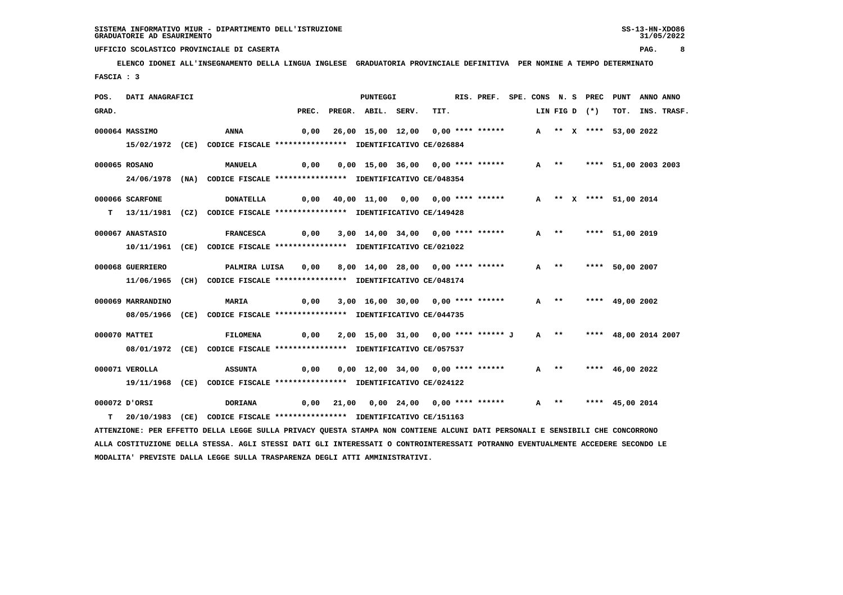**ELENCO IDONEI ALL'INSEGNAMENTO DELLA LINGUA INGLESE GRADUATORIA PROVINCIALE DEFINITIVA PER NOMINE A TEMPO DETERMINATO FASCIA : 3**

| POS.  | DATI ANAGRAFICI   |                                                                                                                               |       | PUNTEGGI                                         |      | RIS. PREF. SPE. CONS N. S PREC |        |  |               | PUNT                      | ANNO ANNO |                  |
|-------|-------------------|-------------------------------------------------------------------------------------------------------------------------------|-------|--------------------------------------------------|------|--------------------------------|--------|--|---------------|---------------------------|-----------|------------------|
| GRAD. |                   |                                                                                                                               | PREC. | PREGR. ABIL. SERV.                               | TIT. |                                |        |  | LIN FIG D (*) |                           |           | TOT. INS. TRASF. |
|       | 000064 MASSIMO    | ANNA                                                                                                                          | 0,00  | 26,00 15,00 12,00 0,00 **** ******               |      |                                |        |  |               | A ** X **** 53,00 2022    |           |                  |
|       |                   | 15/02/1972 (CE) CODICE FISCALE *************** IDENTIFICATIVO CE/026884                                                       |       |                                                  |      |                                |        |  |               |                           |           |                  |
|       |                   |                                                                                                                               |       |                                                  |      |                                |        |  |               |                           |           |                  |
|       | 000065 ROSANO     | <b>MANUELA</b>                                                                                                                | 0,00  | 0,00 15,00 36,00 0,00 **** ******                |      |                                | $A$ ** |  |               | **** 51,00 2003 2003      |           |                  |
|       |                   | 24/06/1978 (NA) CODICE FISCALE *************** IDENTIFICATIVO CE/048354                                                       |       |                                                  |      |                                |        |  |               |                           |           |                  |
|       | 000066 SCARFONE   | <b>DONATELLA</b>                                                                                                              | 0,00  | 40,00 11,00 0,00 0,00 **** ******                |      |                                |        |  |               | A ** X **** 51,00 2014    |           |                  |
|       |                   | T 13/11/1981 (CZ) CODICE FISCALE *************** IDENTIFICATIVO CE/149428                                                     |       |                                                  |      |                                |        |  |               |                           |           |                  |
|       |                   |                                                                                                                               |       |                                                  |      |                                |        |  |               |                           |           |                  |
|       | 000067 ANASTASIO  | <b>FRANCESCA</b>                                                                                                              |       | $0,00$ $3,00$ $14,00$ $34,00$ $0,00$ **** ****** |      |                                | A **   |  |               | **** 51,00 2019           |           |                  |
|       |                   | 10/11/1961 (CE) CODICE FISCALE *************** IDENTIFICATIVO CE/021022                                                       |       |                                                  |      |                                |        |  |               |                           |           |                  |
|       | 000068 GUERRIERO  | PALMIRA LUISA                                                                                                                 | 0,00  | 8,00 14,00 28,00 0,00 **** ******                |      |                                | $A$ ** |  |               | **** 50,00 2007           |           |                  |
|       |                   | 11/06/1965 (CH) CODICE FISCALE *************** IDENTIFICATIVO CE/048174                                                       |       |                                                  |      |                                |        |  |               |                           |           |                  |
|       |                   |                                                                                                                               |       |                                                  |      |                                |        |  |               |                           |           |                  |
|       | 000069 MARRANDINO | <b>MARIA</b>                                                                                                                  | 0,00  | 3,00 16,00 30,00 0,00 **** ******                |      |                                | $A$ ** |  |               | **** 49,00 2002           |           |                  |
|       |                   | 08/05/1966 (CE) CODICE FISCALE *************** IDENTIFICATIVO CE/044735                                                       |       |                                                  |      |                                |        |  |               |                           |           |                  |
|       |                   |                                                                                                                               |       |                                                  |      |                                |        |  |               |                           |           |                  |
|       | 000070 MATTEI     | FILOMENA                                                                                                                      | 0,00  | 2,00 15,00 31,00 0,00 **** ****** J              |      |                                |        |  |               | A ** **** 48,00 2014 2007 |           |                  |
|       |                   | 08/01/1972 (CE) CODICE FISCALE *************** IDENTIFICATIVO CE/057537                                                       |       |                                                  |      |                                |        |  |               |                           |           |                  |
|       | 000071 VEROLLA    | <b>ASSUNTA</b>                                                                                                                | 0,00  | 0,00 12,00 34,00 0,00 **** ******                |      |                                | $A$ ** |  |               | **** $46,00$ 2022         |           |                  |
|       |                   | 19/11/1968 (CE) CODICE FISCALE *************** IDENTIFICATIVO CE/024122                                                       |       |                                                  |      |                                |        |  |               |                           |           |                  |
|       |                   |                                                                                                                               |       |                                                  |      |                                |        |  |               |                           |           |                  |
|       | 000072 D'ORSI     | <b>DORIANA</b>                                                                                                                | 0,00  |                                                  |      |                                | $A$ ** |  |               | **** 45,00 2014           |           |                  |
| T.    | 20/10/1983 (CE)   | CODICE FISCALE **************** IDENTIFICATIVO CE/151163                                                                      |       |                                                  |      |                                |        |  |               |                           |           |                  |
|       |                   | ATTENZIONE: PER EFFETTO DELLA LEGGE SULLA PRIVACY QUESTA STAMPA NON CONTIENE ALCUNI DATI PERSONALI E SENSIBILI CHE CONCORRONO |       |                                                  |      |                                |        |  |               |                           |           |                  |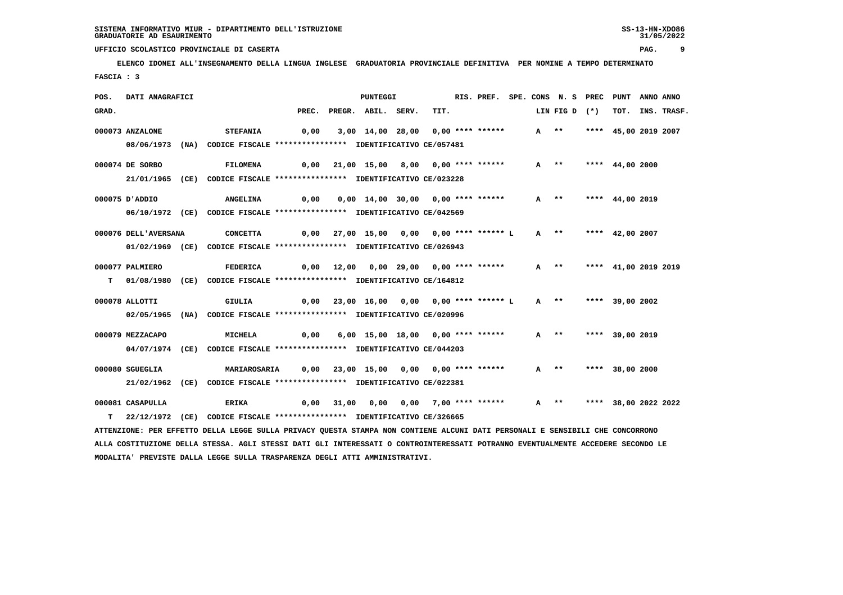**ELENCO IDONEI ALL'INSEGNAMENTO DELLA LINGUA INGLESE GRADUATORIA PROVINCIALE DEFINITIVA PER NOMINE A TEMPO DETERMINATO FASCIA : 3**

| POS.  | DATI ANAGRAFICI      |                                                                                                                               |       | PUNTEGGI                                                      |      | RIS. PREF. SPE. CONS N. S PREC PUNT |        |                           |                 |                      | ANNO ANNO |                  |
|-------|----------------------|-------------------------------------------------------------------------------------------------------------------------------|-------|---------------------------------------------------------------|------|-------------------------------------|--------|---------------------------|-----------------|----------------------|-----------|------------------|
| GRAD. |                      |                                                                                                                               | PREC. | PREGR. ABIL. SERV.                                            | TIT. |                                     |        | LIN FIG D (*)             |                 |                      |           | TOT. INS. TRASF. |
|       | 000073 ANZALONE      | <b>STEFANIA</b>                                                                                                               | 0,00  | 3,00 14,00 28,00 0,00 **** ******                             |      |                                     | $A$ ** |                           |                 | **** 45,00 2019 2007 |           |                  |
|       |                      | 08/06/1973 (NA) CODICE FISCALE *************** IDENTIFICATIVO CE/057481                                                       |       |                                                               |      |                                     |        |                           |                 |                      |           |                  |
|       | 000074 DE SORBO      | <b>FILOMENA</b>                                                                                                               |       | 0,00 21,00 15,00 8,00 0,00 **** ******                        |      |                                     |        | $A$ **                    | **** 44,00 2000 |                      |           |                  |
|       |                      | 21/01/1965 (CE) CODICE FISCALE *************** IDENTIFICATIVO CE/023228                                                       |       |                                                               |      |                                     |        |                           |                 |                      |           |                  |
|       | 000075 D'ADDIO       | <b>ANGELINA</b>                                                                                                               | 0,00  | 0,00 14,00 30,00 0,00 **** ******                             |      |                                     |        | $A$ **                    |                 | **** $44,00$ 2019    |           |                  |
|       |                      | 06/10/1972 (CE) CODICE FISCALE *************** IDENTIFICATIVO CE/042569                                                       |       |                                                               |      |                                     |        |                           |                 |                      |           |                  |
|       | 000076 DELL'AVERSANA | <b>CONCETTA</b>                                                                                                               |       | 0,00 27,00 15,00 0,00 0,00 **** ****** L A ** **** 42,00 2007 |      |                                     |        |                           |                 |                      |           |                  |
|       |                      | 01/02/1969 (CE) CODICE FISCALE *************** IDENTIFICATIVO CE/026943                                                       |       |                                                               |      |                                     |        |                           |                 |                      |           |                  |
|       | 000077 PALMIERO      | FEDERICA                                                                                                                      |       | 0,00 12,00 0,00 29,00 0,00 **** ******                        |      |                                     |        | A ** **** 41,00 2019 2019 |                 |                      |           |                  |
| т     |                      | 01/08/1980 (CE) CODICE FISCALE *************** IDENTIFICATIVO CE/164812                                                       |       |                                                               |      |                                     |        |                           |                 |                      |           |                  |
|       | 000078 ALLOTTI       | GIULIA                                                                                                                        |       | 0,00 23,00 16,00 0,00 0,00 **** ****** L                      |      |                                     |        | A **                      |                 | **** 39,00 2002      |           |                  |
|       |                      | 02/05/1965 (NA) CODICE FISCALE *************** IDENTIFICATIVO CE/020996                                                       |       |                                                               |      |                                     |        |                           |                 |                      |           |                  |
|       | 000079 MEZZACAPO     | <b>MICHELA</b>                                                                                                                | 0,00  | 6,00 15,00 18,00 0,00 **** ******                             |      |                                     |        | $A$ **                    |                 | **** 39,00 2019      |           |                  |
|       |                      | 04/07/1974 (CE) CODICE FISCALE *************** IDENTIFICATIVO CE/044203                                                       |       |                                                               |      |                                     |        |                           |                 |                      |           |                  |
|       | 000080 SGUEGLIA      | MARIAROSARIA 0,00                                                                                                             |       |                                                               |      |                                     |        | A ** **** 38,00 2000      |                 |                      |           |                  |
|       |                      | 21/02/1962 (CE) CODICE FISCALE *************** IDENTIFICATIVO CE/022381                                                       |       |                                                               |      |                                     |        |                           |                 |                      |           |                  |
|       | 000081 CASAPULLA     | <b>ERIKA</b>                                                                                                                  | 0,00  |                                                               |      |                                     |        | $A$ **                    |                 | **** 38,00 2022 2022 |           |                  |
| т     |                      | 22/12/1972 (CE) CODICE FISCALE *************** IDENTIFICATIVO CE/326665                                                       |       |                                                               |      |                                     |        |                           |                 |                      |           |                  |
|       |                      | ATTENZIONE: PER EFFETTO DELLA LEGGE SULLA PRIVACY OUESTA STAMPA NON CONTIENE ALCUNI DATI PERSONALI E SENSIBILI CHE CONCORRONO |       |                                                               |      |                                     |        |                           |                 |                      |           |                  |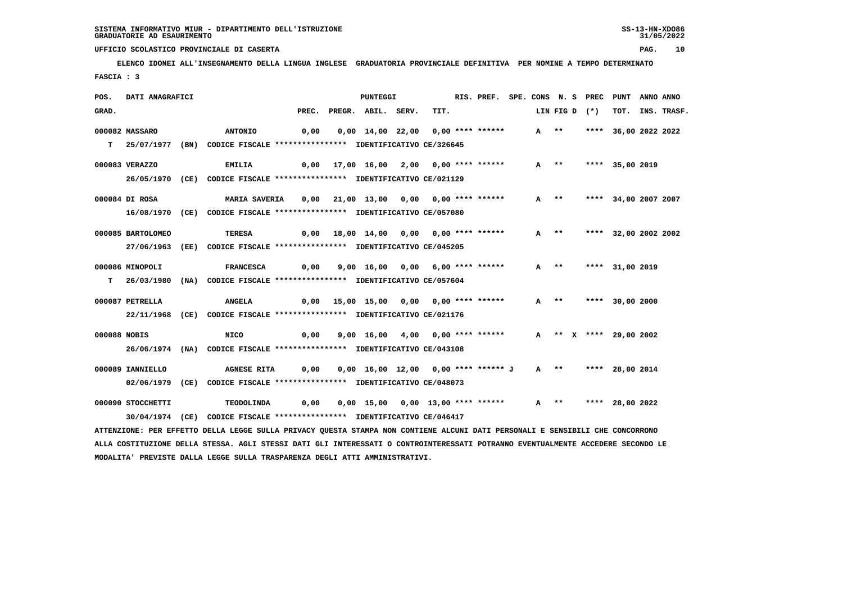**ELENCO IDONEI ALL'INSEGNAMENTO DELLA LINGUA INGLESE GRADUATORIA PROVINCIALE DEFINITIVA PER NOMINE A TEMPO DETERMINATO FASCIA : 3**

| POS.  | DATI ANAGRAFICI   |                                                                                                                               |       | PUNTEGGI                                                 |      | RIS. PREF. SPE. CONS N. S PREC PUNT |  |        |               |                        | ANNO ANNO |             |
|-------|-------------------|-------------------------------------------------------------------------------------------------------------------------------|-------|----------------------------------------------------------|------|-------------------------------------|--|--------|---------------|------------------------|-----------|-------------|
| GRAD. |                   |                                                                                                                               | PREC. | PREGR. ABIL. SERV.                                       | TIT. |                                     |  |        | LIN FIG D (*) | тот.                   |           | INS. TRASF. |
|       | 000082 MASSARO    |                                                                                                                               | 0,00  |                                                          |      |                                     |  | A **   |               |                        |           |             |
|       |                   | <b>ANTONIO</b>                                                                                                                |       | 0,00 14,00 22,00 0,00 **** ******                        |      |                                     |  |        |               | **** 36,00 2022 2022   |           |             |
|       |                   | T 25/07/1977 (BN) CODICE FISCALE *************** IDENTIFICATIVO CE/326645                                                     |       |                                                          |      |                                     |  |        |               |                        |           |             |
|       | 000083 VERAZZO    | <b>EMILIA</b>                                                                                                                 |       | $0,00$ 17,00 16,00 2,00 0,00 **** ******                 |      |                                     |  | $A$ ** |               | **** 35,00 2019        |           |             |
|       |                   | 26/05/1970 (CE) CODICE FISCALE *************** IDENTIFICATIVO CE/021129                                                       |       |                                                          |      |                                     |  |        |               |                        |           |             |
|       |                   |                                                                                                                               |       |                                                          |      |                                     |  |        |               |                        |           |             |
|       | 000084 DI ROSA    | <b>MARIA SAVERIA</b>                                                                                                          |       | 0,00 21,00 13,00 0,00 0,00 **** ******                   |      |                                     |  | $A$ ** |               | **** 34,00 2007 2007   |           |             |
|       |                   | 16/08/1970 (CE) CODICE FISCALE *************** IDENTIFICATIVO CE/057080                                                       |       |                                                          |      |                                     |  |        |               |                        |           |             |
|       | 000085 BARTOLOMEO | <b>TERESA</b>                                                                                                                 |       | $0,00$ 18,00 14,00 0,00 0,00 **** ******                 |      |                                     |  | A **   |               | **** 32,00 2002 2002   |           |             |
|       |                   |                                                                                                                               |       |                                                          |      |                                     |  |        |               |                        |           |             |
|       |                   | 27/06/1963 (EE) CODICE FISCALE *************** IDENTIFICATIVO CE/045205                                                       |       |                                                          |      |                                     |  |        |               |                        |           |             |
|       | 000086 MINOPOLI   | <b>FRANCESCA</b>                                                                                                              | 0,00  | 9,00 16,00 0,00 6,00 **** ******                         |      |                                     |  |        |               | A ** **** 31,00 2019   |           |             |
|       |                   | T 26/03/1980 (NA) CODICE FISCALE *************** IDENTIFICATIVO CE/057604                                                     |       |                                                          |      |                                     |  |        |               |                        |           |             |
|       |                   |                                                                                                                               |       |                                                          |      |                                     |  |        |               |                        |           |             |
|       | 000087 PETRELLA   | <b>ANGELA</b>                                                                                                                 |       | 0,00 15,00 15,00 0,00 0,00 **** ******                   |      |                                     |  | A **   |               | **** 30,00 2000        |           |             |
|       |                   | 22/11/1968 (CE) CODICE FISCALE *************** IDENTIFICATIVO CE/021176                                                       |       |                                                          |      |                                     |  |        |               |                        |           |             |
|       |                   |                                                                                                                               |       |                                                          |      |                                     |  |        |               |                        |           |             |
|       | 000088 NOBIS      | NICO                                                                                                                          | 0,00  | 9,00 16,00 4,00 0,00 **** ******                         |      |                                     |  |        |               | A ** X **** 29,00 2002 |           |             |
|       |                   | 26/06/1974 (NA) CODICE FISCALE *************** IDENTIFICATIVO CE/043108                                                       |       |                                                          |      |                                     |  |        |               |                        |           |             |
|       | 000089 IANNIELLO  | <b>AGNESE RITA</b>                                                                                                            |       | $0,00$ $0,00$ $16,00$ $12,00$ $0,00$ $***$ **** ****** J |      |                                     |  |        |               | A ** **** 28,00 2014   |           |             |
|       |                   | 02/06/1979 (CE) CODICE FISCALE *************** IDENTIFICATIVO CE/048073                                                       |       |                                                          |      |                                     |  |        |               |                        |           |             |
|       |                   |                                                                                                                               |       |                                                          |      |                                     |  |        |               |                        |           |             |
|       | 000090 STOCCHETTI | TEODOLINDA                                                                                                                    | 0,00  | 0,00 15,00 0,00 13,00 **** ******                        |      |                                     |  | $A$ ** |               | **** 28,00 2022        |           |             |
|       |                   | 30/04/1974 (CE) CODICE FISCALE *************** IDENTIFICATIVO CE/046417                                                       |       |                                                          |      |                                     |  |        |               |                        |           |             |
|       |                   | ATTENZIONE: PER EFFETTO DELLA LEGGE SULLA PRIVACY QUESTA STAMPA NON CONTIENE ALCUNI DATI PERSONALI E SENSIBILI CHE CONCORRONO |       |                                                          |      |                                     |  |        |               |                        |           |             |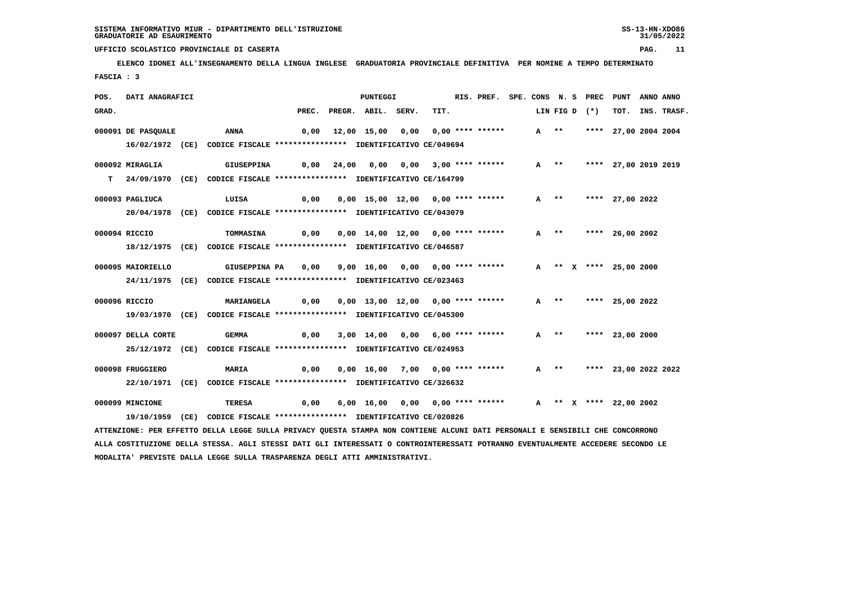**ELENCO IDONEI ALL'INSEGNAMENTO DELLA LINGUA INGLESE GRADUATORIA PROVINCIALE DEFINITIVA PER NOMINE A TEMPO DETERMINATO FASCIA : 3**

| POS.  | DATI ANAGRAFICI    |                                                                                                                               |       | PUNTEGGI                          |                       | RIS. PREF. SPE. CONS N. S PREC |        |        |               | PUNT                   | ANNO ANNO |             |
|-------|--------------------|-------------------------------------------------------------------------------------------------------------------------------|-------|-----------------------------------|-----------------------|--------------------------------|--------|--------|---------------|------------------------|-----------|-------------|
| GRAD. |                    |                                                                                                                               | PREC. | PREGR. ABIL. SERV.                | TIT.                  |                                |        |        | LIN FIG D (*) | тот.                   |           | INS. TRASF. |
|       | 000091 DE PASQUALE | <b>ANNA</b>                                                                                                                   | 0,00  | 12,00 15,00 0,00 0,00 **** ****** |                       |                                | A **   |        |               | **** 27,00 2004 2004   |           |             |
|       |                    | 16/02/1972 (CE) CODICE FISCALE *************** IDENTIFICATIVO CE/049694                                                       |       |                                   |                       |                                |        |        |               |                        |           |             |
|       | 000092 MIRAGLIA    | <b>GIUSEPPINA</b>                                                                                                             | 0,00  | 24,00 0,00                        | 0,00 3,00 **** ****** |                                |        | $A$ ** |               | **** 27,00 2019 2019   |           |             |
|       |                    | T 24/09/1970 (CE) CODICE FISCALE *************** IDENTIFICATIVO CE/164799                                                     |       |                                   |                       |                                |        |        |               |                        |           |             |
|       | 000093 PAGLIUCA    | LUISA                                                                                                                         | 0,00  | 0,00 15,00 12,00 0,00 **** ****** |                       |                                | $A$ ** |        |               | **** 27,00 2022        |           |             |
|       |                    | 20/04/1978 (CE) CODICE FISCALE *************** IDENTIFICATIVO CE/043079                                                       |       |                                   |                       |                                |        |        |               |                        |           |             |
|       | 000094 RICCIO      | TOMMASINA                                                                                                                     | 0,00  | 0,00 14,00 12,00 0,00 **** ****** |                       |                                |        | A **   |               | **** 26,00 2002        |           |             |
|       |                    | 18/12/1975 (CE) CODICE FISCALE *************** IDENTIFICATIVO CE/046587                                                       |       |                                   |                       |                                |        |        |               |                        |           |             |
|       |                    |                                                                                                                               |       |                                   |                       |                                |        |        |               |                        |           |             |
|       | 000095 MAIORIELLO  | GIUSEPPINA PA                                                                                                                 | 0,00  | 9,00 16,00 0,00 0,00 **** ******  |                       |                                |        |        |               | A ** X **** 25,00 2000 |           |             |
|       |                    | 24/11/1975 (CE) CODICE FISCALE *************** IDENTIFICATIVO CE/023463                                                       |       |                                   |                       |                                |        |        |               |                        |           |             |
|       | 000096 RICCIO      | <b>MARIANGELA</b>                                                                                                             | 0,00  | 0,00 13,00 12,00 0,00 **** ****** |                       |                                |        | $A$ ** |               | **** 25,00 2022        |           |             |
|       |                    | 19/03/1970 (CE) CODICE FISCALE *************** IDENTIFICATIVO CE/045300                                                       |       |                                   |                       |                                |        |        |               |                        |           |             |
|       | 000097 DELLA CORTE | <b>GEMMA</b>                                                                                                                  | 0,00  | 3,00 14,00 0,00 6,00 **** ******  |                       |                                |        | $A$ ** |               | **** 23,00 2000        |           |             |
|       |                    | 25/12/1972 (CE) CODICE FISCALE *************** IDENTIFICATIVO CE/024953                                                       |       |                                   |                       |                                |        |        |               |                        |           |             |
|       |                    |                                                                                                                               |       |                                   |                       |                                |        |        |               |                        |           |             |
|       | 000098 FRUGGIERO   | <b>MARIA</b>                                                                                                                  | 0,00  | 0,00 16,00 7,00 0,00 **** ******  |                       |                                |        | A **   |               | **** 23,00 2022 2022   |           |             |
|       |                    | 22/10/1971 (CE) CODICE FISCALE *************** IDENTIFICATIVO CE/326632                                                       |       |                                   |                       |                                |        |        |               |                        |           |             |
|       | 000099 MINCIONE    | <b>TERESA</b>                                                                                                                 | 0,00  | 6,00 16,00 0,00 0,00 **** ******  |                       |                                |        |        |               | A ** X **** 22,00 2002 |           |             |
|       | 19/10/1959 (CE)    | CODICE FISCALE **************** IDENTIFICATIVO CE/020826                                                                      |       |                                   |                       |                                |        |        |               |                        |           |             |
|       |                    | ATTENZIONE: PER EFFETTO DELLA LEGGE SULLA PRIVACY QUESTA STAMPA NON CONTIENE ALCUNI DATI PERSONALI E SENSIBILI CHE CONCORRONO |       |                                   |                       |                                |        |        |               |                        |           |             |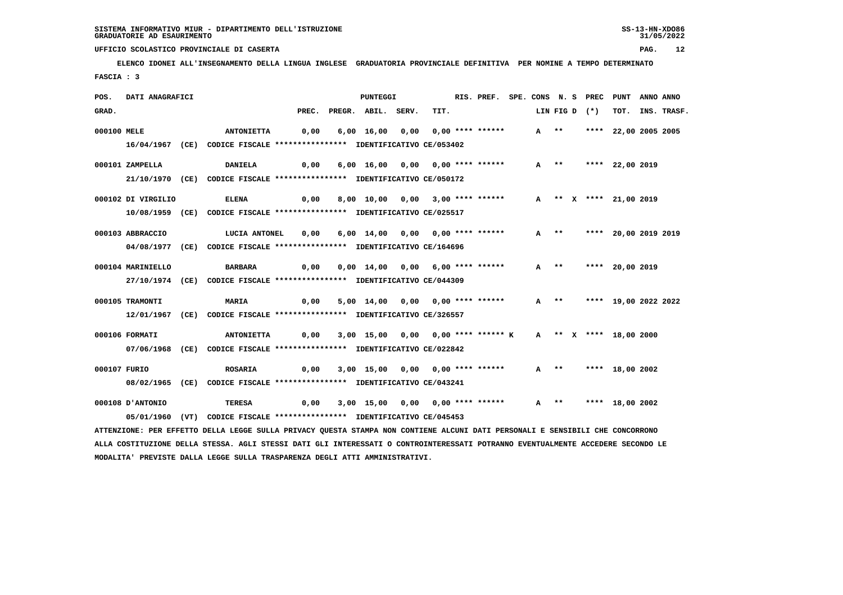**ELENCO IDONEI ALL'INSEGNAMENTO DELLA LINGUA INGLESE GRADUATORIA PROVINCIALE DEFINITIVA PER NOMINE A TEMPO DETERMINATO FASCIA : 3**

| POS.        | DATI ANAGRAFICI    |                                                                                                                               |       | PUNTEGGI                           |      | RIS. PREF. SPE. CONS N. S PREC PUNT |        |        |               |                           | ANNO ANNO |                  |
|-------------|--------------------|-------------------------------------------------------------------------------------------------------------------------------|-------|------------------------------------|------|-------------------------------------|--------|--------|---------------|---------------------------|-----------|------------------|
| GRAD.       |                    |                                                                                                                               | PREC. | PREGR. ABIL. SERV.                 | TIT. |                                     |        |        | LIN FIG D (*) |                           |           | TOT. INS. TRASF. |
| 000100 MELE |                    | <b>ANTONIETTA</b>                                                                                                             | 0,00  | 6,00 16,00 0,00 0,00 **** ******   |      |                                     | $A$ ** |        |               | **** 22,00 2005 2005      |           |                  |
|             |                    | 16/04/1967 (CE) CODICE FISCALE **************** IDENTIFICATIVO CE/053402                                                      |       |                                    |      |                                     |        |        |               |                           |           |                  |
|             | 000101 ZAMPELLA    | <b>DANIELA</b>                                                                                                                | 0,00  | 6,00 16,00 0,00 0,00 **** ******   |      |                                     |        |        |               | A ** **** 22,00 2019      |           |                  |
|             |                    | 21/10/1970 (CE) CODICE FISCALE *************** IDENTIFICATIVO CE/050172                                                       |       |                                    |      |                                     |        |        |               |                           |           |                  |
|             | 000102 DI VIRGILIO | <b>ELENA</b>                                                                                                                  | 0,00  | 8,00 10,00 0,00 3,00 **** ******   |      |                                     |        |        |               | A ** X **** 21,00 2019    |           |                  |
|             |                    | 10/08/1959 (CE) CODICE FISCALE *************** IDENTIFICATIVO CE/025517                                                       |       |                                    |      |                                     |        |        |               |                           |           |                  |
|             |                    |                                                                                                                               |       |                                    |      |                                     |        |        |               |                           |           |                  |
|             | 000103 ABBRACCIO   | LUCIA ANTONEL                                                                                                                 | 0,00  | 6,00 14,00 0,00 0,00 **** ******   |      |                                     |        | A **   |               | **** 20,00 2019 2019      |           |                  |
|             |                    | 04/08/1977 (CE) CODICE FISCALE *************** IDENTIFICATIVO CE/164696                                                       |       |                                    |      |                                     |        |        |               |                           |           |                  |
|             | 000104 MARINIELLO  | BARBARA                                                                                                                       | 0,00  | 0,00 14,00 0,00 6,00 **** ******   |      |                                     |        | $A$ ** |               | **** 20,00 2019           |           |                  |
|             |                    | 27/10/1974 (CE) CODICE FISCALE *************** IDENTIFICATIVO CE/044309                                                       |       |                                    |      |                                     |        |        |               |                           |           |                  |
|             | 000105 TRAMONTI    | <b>MARIA</b>                                                                                                                  | 0,00  | 5,00 14,00 0,00 0,00 **** ******   |      |                                     |        |        |               | A ** **** 19,00 2022 2022 |           |                  |
|             |                    | 12/01/1967 (CE) CODICE FISCALE *************** IDENTIFICATIVO CE/326557                                                       |       |                                    |      |                                     |        |        |               |                           |           |                  |
|             |                    |                                                                                                                               |       |                                    |      |                                     |        |        |               |                           |           |                  |
|             | 000106 FORMATI     | <b>ANTONIETTA</b>                                                                                                             | 0,00  | 3,00 15,00 0,00 0,00 **** ****** K |      |                                     |        |        |               | A ** X **** 18,00 2000    |           |                  |
|             |                    | 07/06/1968 (CE) CODICE FISCALE *************** IDENTIFICATIVO CE/022842                                                       |       |                                    |      |                                     |        |        |               |                           |           |                  |
|             | 000107 FURIO       | <b>ROSARIA</b>                                                                                                                | 0,00  | 3,00 15,00 0,00 0,00 **** ******   |      |                                     |        |        |               | A ** **** 18,00 2002      |           |                  |
|             |                    | 08/02/1965 (CE) CODICE FISCALE *************** IDENTIFICATIVO CE/043241                                                       |       |                                    |      |                                     |        |        |               |                           |           |                  |
|             | 000108 D'ANTONIO   | TERESA                                                                                                                        | 0,00  | 3,00 15,00 0,00 0,00 **** ******   |      |                                     | $A$ ** |        |               | **** 18,00 2002           |           |                  |
|             |                    | 05/01/1960 (VT) CODICE FISCALE *************** IDENTIFICATIVO CE/045453                                                       |       |                                    |      |                                     |        |        |               |                           |           |                  |
|             |                    | ATTENZIONE: PER EFFETTO DELLA LEGGE SULLA PRIVACY QUESTA STAMPA NON CONTIENE ALCUNI DATI PERSONALI E SENSIBILI CHE CONCORRONO |       |                                    |      |                                     |        |        |               |                           |           |                  |
|             |                    |                                                                                                                               |       |                                    |      |                                     |        |        |               |                           |           |                  |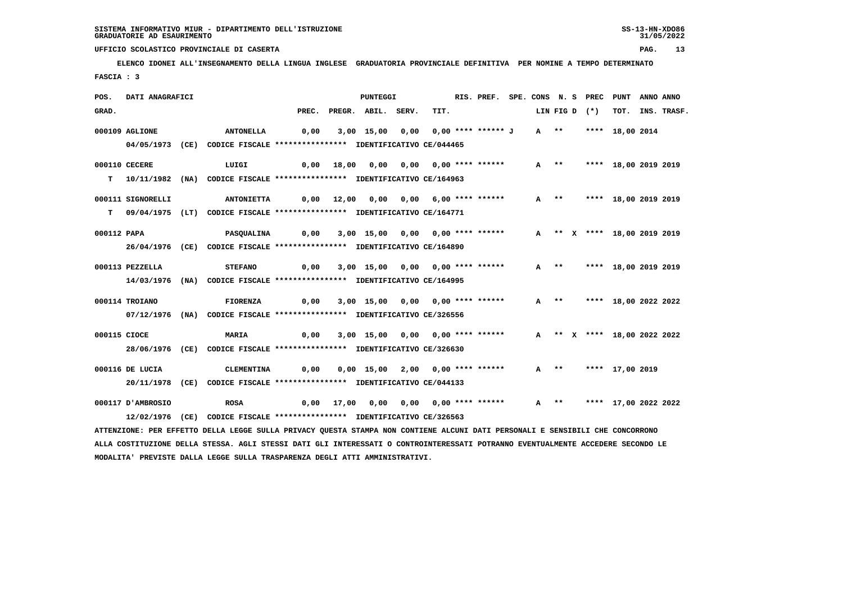### **UFFICIO SCOLASTICO PROVINCIALE DI CASERTA PAG. 13 ELENCO IDONEI ALL'INSEGNAMENTO DELLA LINGUA INGLESE GRADUATORIA PROVINCIALE DEFINITIVA PER NOMINE A TEMPO DETERMINATO FASCIA : 3**

| POS.                                                                                                                            | DATI ANAGRAFICI   |  |                                                                            |      |  | <b>PUNTEGGI</b>                         |      |      |  | RIS. PREF. SPE. CONS N. S PREC |  |        |  |               | PUNT                        |  | ANNO ANNO        |
|---------------------------------------------------------------------------------------------------------------------------------|-------------------|--|----------------------------------------------------------------------------|------|--|-----------------------------------------|------|------|--|--------------------------------|--|--------|--|---------------|-----------------------------|--|------------------|
| GRAD.                                                                                                                           |                   |  |                                                                            |      |  | PREC. PREGR. ABIL. SERV.                |      | TIT. |  |                                |  |        |  | LIN FIG D (*) |                             |  | TOT. INS. TRASF. |
|                                                                                                                                 | 000109 AGLIONE    |  | <b>ANTONELLA</b>                                                           | 0,00 |  | 3,00 15,00                              | 0,00 |      |  | 0,00 **** ****** J             |  | A **   |  |               | **** 18,00 2014             |  |                  |
|                                                                                                                                 | 04/05/1973 (CE)   |  | CODICE FISCALE **************** IDENTIFICATIVO CE/044465                   |      |  |                                         |      |      |  |                                |  |        |  |               |                             |  |                  |
|                                                                                                                                 | 000110 CECERE     |  | LUIGI                                                                      | 0,00 |  |                                         |      |      |  |                                |  | A **   |  |               | **** 18,00 2019 2019        |  |                  |
|                                                                                                                                 |                   |  | T  10/11/1982 (NA) CODICE FISCALE *************** IDENTIFICATIVO CE/164963 |      |  |                                         |      |      |  |                                |  |        |  |               |                             |  |                  |
|                                                                                                                                 | 000111 SIGNORELLI |  | <b>ANTONIETTA</b>                                                          |      |  | $0,00$ 12,00 0,00 0,00 6,00 **** ****** |      |      |  |                                |  | $A$ ** |  |               | **** 18,00 2019 2019        |  |                  |
|                                                                                                                                 |                   |  | T 09/04/1975 (LT) CODICE FISCALE *************** IDENTIFICATIVO CE/164771  |      |  |                                         |      |      |  |                                |  |        |  |               |                             |  |                  |
| 000112 PAPA                                                                                                                     |                   |  | PASQUALINA                                                                 | 0,00 |  | 3,00 15,00 0,00 0,00 **** ******        |      |      |  |                                |  |        |  |               | A ** X **** 18,00 2019 2019 |  |                  |
|                                                                                                                                 |                   |  | 26/04/1976 (CE) CODICE FISCALE *************** IDENTIFICATIVO CE/164890    |      |  |                                         |      |      |  |                                |  |        |  |               |                             |  |                  |
|                                                                                                                                 | 000113 PEZZELLA   |  | <b>STEFANO</b>                                                             | 0,00 |  | 3,00 15,00 0,00 0,00 **** ******        |      |      |  |                                |  | $A$ ** |  |               | **** 18,00 2019 2019        |  |                  |
|                                                                                                                                 |                   |  | 14/03/1976 (NA) CODICE FISCALE *************** IDENTIFICATIVO CE/164995    |      |  |                                         |      |      |  |                                |  |        |  |               |                             |  |                  |
|                                                                                                                                 | 000114 TROIANO    |  | FIORENZA                                                                   | 0,00 |  | 3,00 15,00 0,00 0,00 **** ******        |      |      |  |                                |  | A **   |  |               | **** 18,00 2022 2022        |  |                  |
|                                                                                                                                 |                   |  | 07/12/1976 (NA) CODICE FISCALE *************** IDENTIFICATIVO CE/326556    |      |  |                                         |      |      |  |                                |  |        |  |               |                             |  |                  |
| 000115 CIOCE                                                                                                                    |                   |  | MARIA                                                                      | 0,00 |  | 3,00 15,00 0,00 0,00 **** ******        |      |      |  |                                |  |        |  |               | A ** X **** 18,00 2022 2022 |  |                  |
|                                                                                                                                 | 28/06/1976        |  | (CE) CODICE FISCALE **************** IDENTIFICATIVO CE/326630              |      |  |                                         |      |      |  |                                |  |        |  |               |                             |  |                  |
|                                                                                                                                 | 000116 DE LUCIA   |  | <b>CLEMENTINA</b>                                                          | 0,00 |  | 0,00 15,00 2,00 0,00 **** ******        |      |      |  |                                |  | $A$ ** |  |               | **** 17,00 2019             |  |                  |
|                                                                                                                                 |                   |  | 20/11/1978 (CE) CODICE FISCALE *************** IDENTIFICATIVO CE/044133    |      |  |                                         |      |      |  |                                |  |        |  |               |                             |  |                  |
|                                                                                                                                 |                   |  |                                                                            |      |  |                                         |      |      |  |                                |  |        |  |               |                             |  |                  |
|                                                                                                                                 | 000117 D'AMBROSIO |  | <b>ROSA</b>                                                                |      |  | 0,00 17,00 0,00 0,00 0,00 **** ******   |      |      |  |                                |  | A **   |  |               | **** 17,00 2022 2022        |  |                  |
|                                                                                                                                 |                   |  | 12/02/1976 (CE) CODICE FISCALE *************** IDENTIFICATIVO CE/326563    |      |  |                                         |      |      |  |                                |  |        |  |               |                             |  |                  |
| ATTENZIONE: PER EFFETTO DELLA LEGGE SULLA PRIVACY QUESTA STAMPA NON CONTIENE ALCUNI DATI PERSONALI E SENSIBILI CHE CONCORRONO   |                   |  |                                                                            |      |  |                                         |      |      |  |                                |  |        |  |               |                             |  |                  |
| ALLA COSTITUZIONE DELLA STESSA. AGLI STESSI DATI GLI INTERESSATI O CONTROINTERESSATI POTRANNO EVENTUALMENTE ACCEDERE SECONDO LE |                   |  |                                                                            |      |  |                                         |      |      |  |                                |  |        |  |               |                             |  |                  |